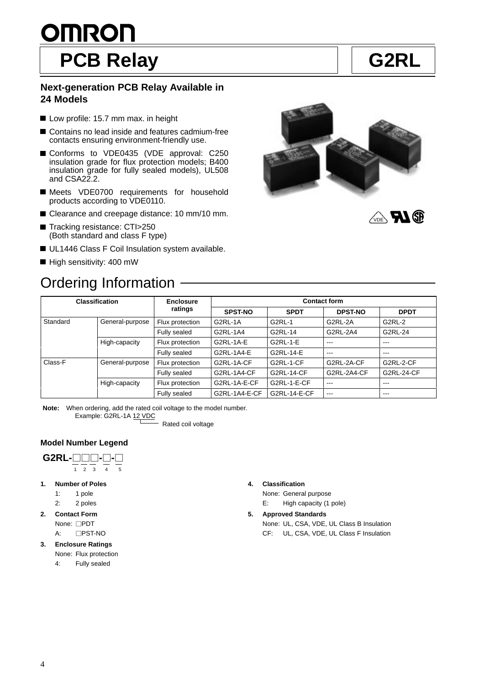# <u>OMRON</u> PCB Relay **G2RL**

**VDE RAGE** 

#### **Next-generation PCB Relay Available in 24 Models**

- Low profile: 15.7 mm max. in height
- Contains no lead inside and features cadmium-free contacts ensuring environment-friendly use.
- Conforms to VDE0435 (VDE approval: C250 insulation grade for flux protection models; B400 insulation grade for fully sealed models), UL508 and CSA22.2.
- Meets VDE0700 requirements for household products according to VDE0110.
- Clearance and creepage distance: 10 mm/10 mm.
- Tracking resistance: CTI>250 (Both standard and class F type)
- UL1446 Class F Coil Insulation system available.
- High sensitivity: 400 mW

# Ordering Information



| <b>Classification</b> |                 | <b>Enclosure</b><br>ratings | <b>Contact form</b> |                   |                |                   |
|-----------------------|-----------------|-----------------------------|---------------------|-------------------|----------------|-------------------|
|                       |                 |                             | <b>SPST-NO</b>      | <b>SPDT</b>       | <b>DPST-NO</b> | <b>DPDT</b>       |
| Standard              | General-purpose | Flux protection             | G2RL-1A             | G2RL-1            | G2RL-2A        | G2RL-2            |
|                       |                 | Fully sealed                | G2RL-1A4            | G2RL-14           | G2RL-2A4       | G2RL-24           |
|                       | High-capacity   | Flux protection             | G2RL-1A-E           | G2RL-1-E          | $--$           | $\qquad \qquad -$ |
|                       |                 | Fully sealed                | G2RL-1A4-E          | G2RL-14-E         | $- - -$        | ---               |
| Class-F               | General-purpose | Flux protection             | G2RL-1A-CF          | G2RL-1-CF         | G2RL-2A-CF     | G2RL-2-CF         |
|                       |                 | Fully sealed                | G2RL-1A4-CF         | <b>G2RL-14-CF</b> | G2RL-2A4-CF    | <b>G2RL-24-CF</b> |
|                       | High-capacity   | Flux protection             | G2RL-1A-E-CF        | G2RL-1-E-CF       | $- - -$        | $---$             |
|                       |                 | Fully sealed                | G2RL-1A4-E-CF       | G2RL-14-E-CF      | $- - -$        | $- - -$           |

**Note:** When ordering, add the rated coil voltage to the model number. Example: G2RL-1A 12 VDC

Rated coil voltage

#### **Model Number Legend**



**1. Number of Poles**

1: 1 pole

- 2: 2 poles
- **2. Contact Form** None: **PDT** 
	- A: **PST-NO**
- **3. Enclosure Ratings**
	- None: Flux protection
	- 4: Fully sealed

#### **4. Classification**

None: General purpose

E: High capacity (1 pole)

#### **5. Approved Standards**

None: UL, CSA, VDE, UL Class B Insulation CF: UL, CSA, VDE, UL Class F Insulation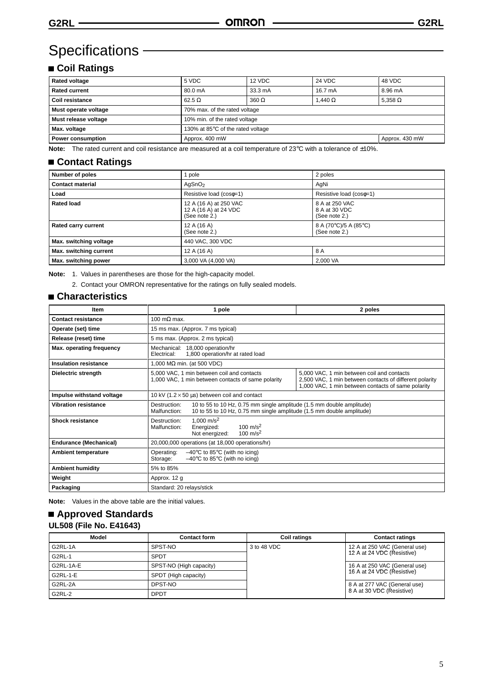# Specifications **CONSERVICES**

### **Coil Ratings**

| <b>Rated voltage</b> | 5 VDC                             | 12 VDC       | <b>24 VDC</b>  | 48 VDC         |
|----------------------|-----------------------------------|--------------|----------------|----------------|
| <b>Rated current</b> | 80.0 mA                           | 33.3 mA      | 16.7 mA        | 8.96 mA        |
| Coil resistance      | $62.5 \Omega$                     | $360 \Omega$ | 1.440 $\Omega$ | 5.358 $\Omega$ |
| Must operate voltage | 70% max. of the rated voltage     |              |                |                |
| Must release voltage | 10% min. of the rated voltage     |              |                |                |
| Max. voltage         | 130% at 85°C of the rated voltage |              |                |                |
| Power consumption    | Approx. 430 mW<br>Approx. 400 mW  |              |                |                |

**Note:** The rated current and coil resistance are measured at a coil temperature of 23°C with a tolerance of ±10%.

#### **Contact Ratings**

| Number of poles            | pole                                                             | 2 poles                                          |  |
|----------------------------|------------------------------------------------------------------|--------------------------------------------------|--|
| <b>Contact material</b>    | AgSnO <sub>2</sub>                                               | AgNi                                             |  |
| Load                       | Resistive load (coso=1)<br>Resistive load (coso=1)               |                                                  |  |
| <b>Rated load</b>          | 12 A (16 A) at 250 VAC<br>12 A (16 A) at 24 VDC<br>(See note 2.) | 8 A at 250 VAC<br>8 A at 30 VDC<br>(See note 2.) |  |
| <b>Rated carry current</b> | 12 A (16 A)<br>(See note 2.)                                     | 8 A (70°C)/5 A (85°C)<br>(See note 2.)           |  |
| Max. switching voltage     | 440 VAC, 300 VDC                                                 |                                                  |  |
| Max. switching current     | 12 A (16 A)                                                      | 8 A                                              |  |
| Max. switching power       | 3,000 VA (4,000 VA)                                              | 2,000 VA                                         |  |

**Note:** 1. Values in parentheses are those for the high-capacity model.

2. Contact your OMRON representative for the ratings on fully sealed models.

#### **Characteristics**

| <b>Item</b>                   | 1 pole                                                                                                                                                                         | 2 poles                                                                                                                                                     |  |
|-------------------------------|--------------------------------------------------------------------------------------------------------------------------------------------------------------------------------|-------------------------------------------------------------------------------------------------------------------------------------------------------------|--|
| <b>Contact resistance</b>     | 100 m $\Omega$ max.                                                                                                                                                            |                                                                                                                                                             |  |
| Operate (set) time            | 15 ms max. (Approx. 7 ms typical)                                                                                                                                              |                                                                                                                                                             |  |
| Release (reset) time          | 5 ms max. (Approx. 2 ms typical)                                                                                                                                               |                                                                                                                                                             |  |
| Max. operating frequency      | Mechanical: 18,000 operation/hr<br>1,800 operation/hr at rated load<br>Electrical:                                                                                             |                                                                                                                                                             |  |
| <b>Insulation resistance</b>  | 1,000 M $\Omega$ min. (at 500 VDC)                                                                                                                                             |                                                                                                                                                             |  |
| Dielectric strength           | 5,000 VAC, 1 min between coil and contacts<br>1,000 VAC, 1 min between contacts of same polarity                                                                               | 5,000 VAC, 1 min between coil and contacts<br>2,500 VAC, 1 min between contacts of different polarity<br>1,000 VAC, 1 min between contacts of same polarity |  |
| Impulse withstand voltage     | 10 kV (1.2 $\times$ 50 µs) between coil and contact                                                                                                                            |                                                                                                                                                             |  |
| <b>Vibration resistance</b>   | 10 to 55 to 10 Hz, 0.75 mm single amplitude (1.5 mm double amplitude)<br>Destruction:<br>Malfunction:<br>10 to 55 to 10 Hz, 0.75 mm single amplitude (1.5 mm double amplitude) |                                                                                                                                                             |  |
| Shock resistance              | 1.000 m/s <sup>2</sup><br>Destruction:<br>100 $\mathrm{m/s^2}$<br>Malfunction:<br>Energized:<br>100 m/s <sup>2</sup><br>Not energized:                                         |                                                                                                                                                             |  |
| <b>Endurance (Mechanical)</b> | 20,000,000 operations (at 18,000 operations/hr)                                                                                                                                |                                                                                                                                                             |  |
| <b>Ambient temperature</b>    | Operating:<br>$-40^{\circ}$ C to 85 $^{\circ}$ C (with no icing)<br>$-40^{\circ}$ C to 85 $^{\circ}$ C (with no icing)<br>Storage:                                             |                                                                                                                                                             |  |
| <b>Ambient humidity</b>       | 5% to 85%                                                                                                                                                                      |                                                                                                                                                             |  |
| Weight                        | Approx. 12 g                                                                                                                                                                   |                                                                                                                                                             |  |
| Packaging                     | Standard: 20 relays/stick                                                                                                                                                      |                                                                                                                                                             |  |

**Note:** Values in the above table are the initial values.

#### **Approved Standards UL508 (File No. E41643)**

| Model         | <b>Contact form</b>     | <b>Coil ratings</b> | <b>Contact ratings</b>        |
|---------------|-------------------------|---------------------|-------------------------------|
| G2RL-1A       | SPST-NO                 | 3 to 48 VDC         | 12 A at 250 VAC (General use) |
| <b>G2RL-1</b> | SPDT                    |                     | 12 A at 24 VDC (Resistive)    |
| G2RL-1A-E     | SPST-NO (High capacity) |                     | 16 A at 250 VAC (General use) |
| G2RL-1-E      | SPDT (High capacity)    |                     | 16 A at 24 VDC (Resistive)    |
| G2RL-2A       | DPST-NO                 |                     | 8 A at 277 VAC (General use)  |
| <b>G2RL-2</b> | <b>DPDT</b>             |                     | 8 A at 30 VDC (Resistive)     |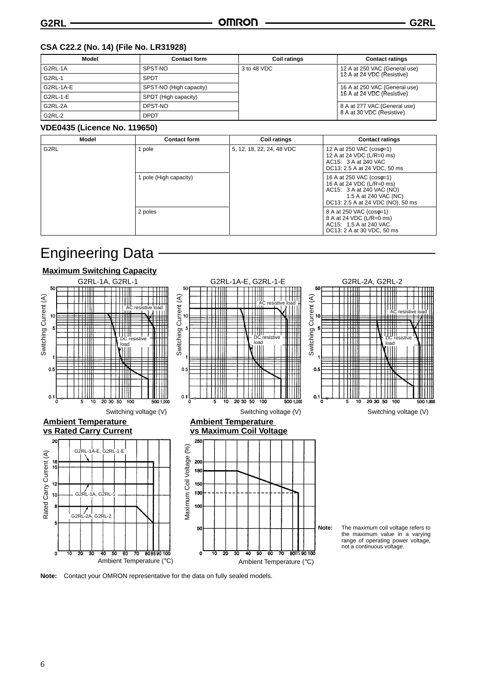#### **CSA C22.2 (No. 14) (File No. LR31928)**

| Model         | <b>Contact form</b>     | <b>Coil ratings</b> | <b>Contact ratings</b>        |  |
|---------------|-------------------------|---------------------|-------------------------------|--|
| G2RL-1A       | SPST-NO                 | 3 to 48 VDC         | 12 A at 250 VAC (General use) |  |
| G2RL-1        | <b>SPDT</b>             |                     | 12 A at 24 VDC (Resistive)    |  |
| G2RL-1A-E     | SPST-NO (High capacity) |                     | 16 A at 250 VAC (General use) |  |
| G2RL-1-E      | SPDT (High capacity)    |                     | 16 A at 24 VDC (Resistive)    |  |
| G2RL-2A       | DPST-NO                 |                     | 8 A at 277 VAC (General use)  |  |
| <b>G2RL-2</b> | <b>DPDT</b>             |                     | 8 A at 30 VDC (Resistive)     |  |

#### **VDE0435 (Licence No. 119650)**

| Model             | <b>Contact form</b>    | <b>Coil ratings</b>       | <b>Contact ratings</b>                                                                                                                           |
|-------------------|------------------------|---------------------------|--------------------------------------------------------------------------------------------------------------------------------------------------|
| G <sub>2</sub> RL | pole                   | 5, 12, 18, 22, 24, 48 VDC | 12 A at 250 VAC (cose=1)<br>12 A at 24 VDC (L/R=0 ms)<br>AC15: 3 A at 240 VAC<br>DC13: 2.5 A at 24 VDC, 50 ms                                    |
|                   | 1 pole (High capacity) |                           | 16 A at 250 VAC (coso=1)<br>16 A at 24 VDC (L/R=0 ms)<br>AC15: 3 A at 240 VAC (NO)<br>1.5 A at 240 VAC (NC)<br>DC13: 2.5 A at 24 VDC (NO), 50 ms |
|                   | 2 poles                |                           | 8 A at 250 VAC (cose=1)<br>8 A at 24 VDC (L/R=0 ms)<br>AC15: 1.5 A at 240 VAC<br>DC13: 2 A at 30 VDC, 50 ms                                      |

# Engineering Data



**Note:** Contact your OMRON representative for the data on fully sealed models.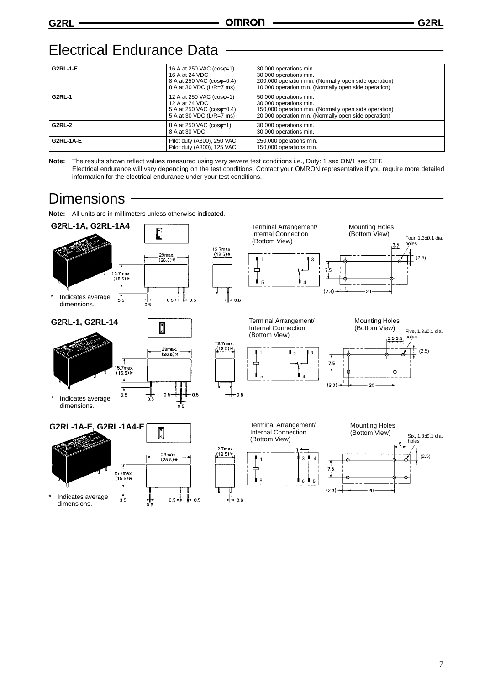## Electrical Endurance Data

| <b>G2RL-1-E</b>  | 16 A at 250 VAC (cose=1)<br>16 A at 24 VDC<br>8 A at 250 VAC (coso=0.4)<br>8 A at 30 VDC (L/R=7 ms) | 30,000 operations min.<br>30,000 operations min.<br>200,000 operation min. (Normally open side operation)<br>10,000 operation min. (Normally open side operation) |
|------------------|-----------------------------------------------------------------------------------------------------|-------------------------------------------------------------------------------------------------------------------------------------------------------------------|
| <b>G2RL-1</b>    | 12 A at 250 VAC (cose=1)<br>12 A at 24 VDC<br>5 A at 250 VAC (coso=0.4)<br>5 A at 30 VDC (L/R=7 ms) | 50,000 operations min.<br>30,000 operations min.<br>150,000 operation min. (Normally open side operation)<br>20,000 operation min. (Normally open side operation) |
| <b>G2RL-2</b>    | 8 A at 250 VAC (cose=1)<br>8 A at 30 VDC                                                            | 30,000 operations min.<br>30,000 operations min.                                                                                                                  |
| <b>G2RL-1A-E</b> | Pilot duty (A300), 250 VAC<br>Pilot duty (A300), 125 VAC                                            | 250,000 operations min.<br>150,000 operations min.                                                                                                                |

**Note:** The results shown reflect values measured using very severe test conditions i.e., Duty: 1 sec ON/1 sec OFF. Electrical endurance will vary depending on the test conditions. Contact your OMRON representative if you require more detailed information for the electrical endurance under your test conditions.

# **Dimensions**

**Note:** All units are in millimeters unless otherwise indicated.